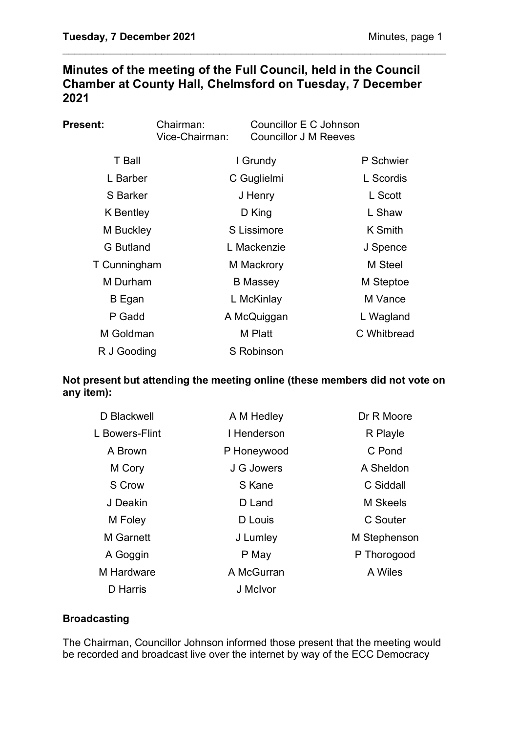# **Minutes of the meeting of the Full Council, held in the Council Chamber at County Hall, Chelmsford on Tuesday, 7 December 2021**

\_\_\_\_\_\_\_\_\_\_\_\_\_\_\_\_\_\_\_\_\_\_\_\_\_\_\_\_\_\_\_\_\_\_\_\_\_\_\_\_\_\_\_\_\_\_\_\_\_\_\_\_\_\_\_\_\_\_\_\_\_\_\_\_\_\_

| Present:         | Chairman:<br>Vice-Chairman: | Councillor E C Johnson<br><b>Councillor J M Reeves</b> |             |
|------------------|-----------------------------|--------------------------------------------------------|-------------|
| T Ball           |                             | I Grundy                                               | P Schwier   |
| L Barber         |                             | C Guglielmi                                            | L Scordis   |
| S Barker         |                             | J Henry                                                | L Scott     |
| K Bentley        |                             | D King                                                 | L Shaw      |
| M Buckley        |                             | S Lissimore                                            | K Smith     |
| <b>G</b> Butland |                             | L Mackenzie                                            | J Spence    |
| T Cunningham     |                             | M Mackrory                                             | M Steel     |
| M Durham         |                             | <b>B</b> Massey                                        | M Steptoe   |
| B Egan           |                             | L McKinlay                                             | M Vance     |
| P Gadd           |                             | A McQuiggan                                            | L Wagland   |
| M Goldman        |                             | M Platt                                                | C Whitbread |
| R J Gooding      |                             | S Robinson                                             |             |

## **Not present but attending the meeting online (these members did not vote on any item):**

| D Blackwell    | A M Hedley  | Dr R Moore      |
|----------------|-------------|-----------------|
| L Bowers-Flint | I Henderson | R Playle        |
| A Brown        | P Honeywood | C Pond          |
| M Cory         | J G Jowers  | A Sheldon       |
| S Crow         | S Kane      | C Siddall       |
| J Deakin       | D Land      | <b>M</b> Skeels |
| M Foley        | D Louis     | C Souter        |
| M Garnett      | J Lumley    | M Stephenson    |
| A Goggin       | P May       | P Thorogood     |
| M Hardware     | A McGurran  | A Wiles         |
| D Harris       | J McIvor    |                 |

## **Broadcasting**

The Chairman, Councillor Johnson informed those present that the meeting would be recorded and broadcast live over the internet by way of the ECC Democracy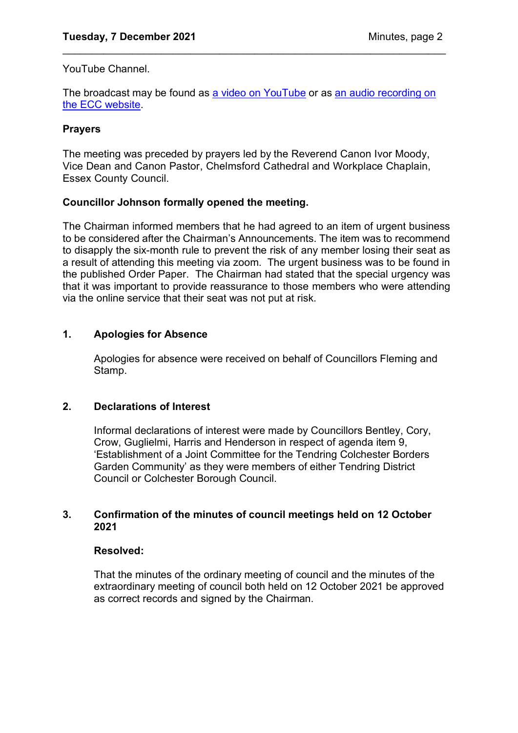YouTube Channel.

The broadcast may be found as [a video on YouTube](https://www.youtube.com/watch?v=RrahLm5u7K4) or as [an audio recording on](https://cmis.essex.gov.uk/essexcmis5/CalendarofMeetings/tabid/73/ctl/ViewMeetingPublic/mid/410/Meeting/4637/Committee/50/SelectedTab/Documents/Default.aspx)  [the ECC website.](https://cmis.essex.gov.uk/essexcmis5/CalendarofMeetings/tabid/73/ctl/ViewMeetingPublic/mid/410/Meeting/4637/Committee/50/SelectedTab/Documents/Default.aspx)

\_\_\_\_\_\_\_\_\_\_\_\_\_\_\_\_\_\_\_\_\_\_\_\_\_\_\_\_\_\_\_\_\_\_\_\_\_\_\_\_\_\_\_\_\_\_\_\_\_\_\_\_\_\_\_\_\_\_\_\_\_\_\_\_\_\_

## **Prayers**

The meeting was preceded by prayers led by the Reverend Canon Ivor Moody, Vice Dean and Canon Pastor, Chelmsford Cathedral and Workplace Chaplain, Essex County Council.

## **Councillor Johnson formally opened the meeting.**

The Chairman informed members that he had agreed to an item of urgent business to be considered after the Chairman's Announcements. The item was to recommend to disapply the six-month rule to prevent the risk of any member losing their seat as a result of attending this meeting via zoom. The urgent business was to be found in the published Order Paper. The Chairman had stated that the special urgency was that it was important to provide reassurance to those members who were attending via the online service that their seat was not put at risk.

## **1. Apologies for Absence**

Apologies for absence were received on behalf of Councillors Fleming and Stamp.

## **2. Declarations of Interest**

Informal declarations of interest were made by Councillors Bentley, Cory, Crow, Guglielmi, Harris and Henderson in respect of agenda item 9, 'Establishment of a Joint Committee for the Tendring Colchester Borders Garden Community' as they were members of either Tendring District Council or Colchester Borough Council.

### **3. Confirmation of the minutes of council meetings held on 12 October 2021**

### **Resolved:**

That the minutes of the ordinary meeting of council and the minutes of the extraordinary meeting of council both held on 12 October 2021 be approved as correct records and signed by the Chairman.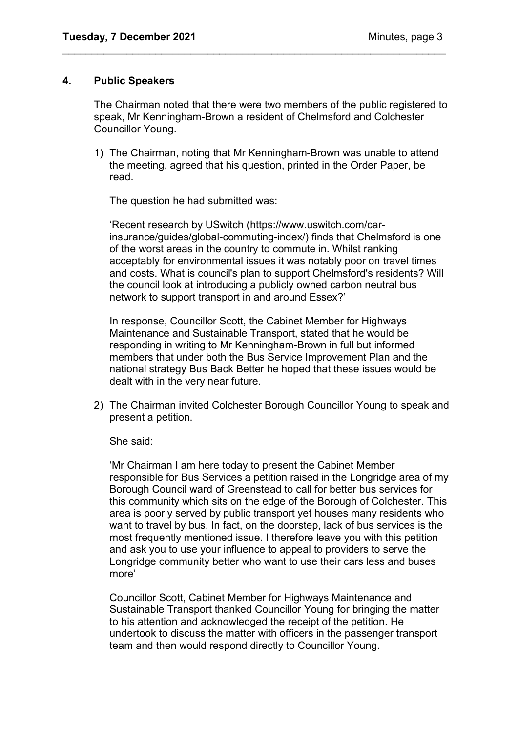#### **4. Public Speakers**

The Chairman noted that there were two members of the public registered to speak, Mr Kenningham-Brown a resident of Chelmsford and Colchester Councillor Young.

\_\_\_\_\_\_\_\_\_\_\_\_\_\_\_\_\_\_\_\_\_\_\_\_\_\_\_\_\_\_\_\_\_\_\_\_\_\_\_\_\_\_\_\_\_\_\_\_\_\_\_\_\_\_\_\_\_\_\_\_\_\_\_\_\_\_

1) The Chairman, noting that Mr Kenningham-Brown was unable to attend the meeting, agreed that his question, printed in the Order Paper, be read.

The question he had submitted was:

'Recent research by USwitch (https://www.uswitch.com/carinsurance/guides/global-commuting-index/) finds that Chelmsford is one of the worst areas in the country to commute in. Whilst ranking acceptably for environmental issues it was notably poor on travel times and costs. What is council's plan to support Chelmsford's residents? Will the council look at introducing a publicly owned carbon neutral bus network to support transport in and around Essex?'

In response, Councillor Scott, the Cabinet Member for Highways Maintenance and Sustainable Transport, stated that he would be responding in writing to Mr Kenningham-Brown in full but informed members that under both the Bus Service Improvement Plan and the national strategy Bus Back Better he hoped that these issues would be dealt with in the very near future.

2) The Chairman invited Colchester Borough Councillor Young to speak and present a petition.

She said:

'Mr Chairman I am here today to present the Cabinet Member responsible for Bus Services a petition raised in the Longridge area of my Borough Council ward of Greenstead to call for better bus services for this community which sits on the edge of the Borough of Colchester. This area is poorly served by public transport yet houses many residents who want to travel by bus. In fact, on the doorstep, lack of bus services is the most frequently mentioned issue. I therefore leave you with this petition and ask you to use your influence to appeal to providers to serve the Longridge community better who want to use their cars less and buses more'

Councillor Scott, Cabinet Member for Highways Maintenance and Sustainable Transport thanked Councillor Young for bringing the matter to his attention and acknowledged the receipt of the petition. He undertook to discuss the matter with officers in the passenger transport team and then would respond directly to Councillor Young.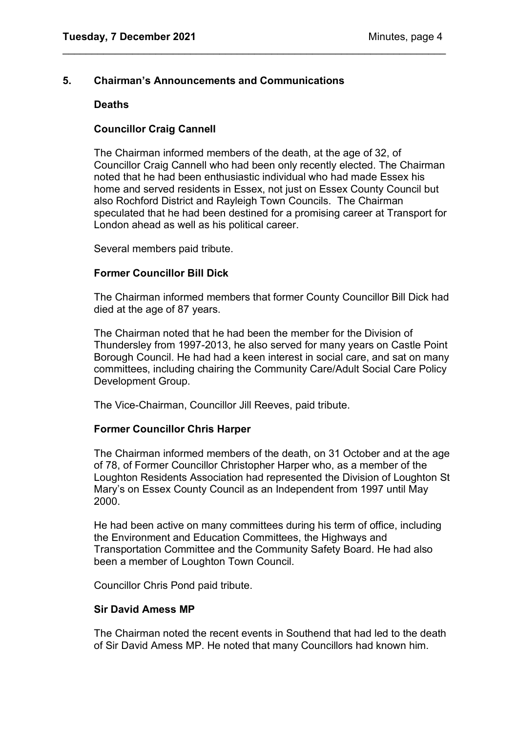### **5. Chairman's Announcements and Communications**

#### **Deaths**

#### **Councillor Craig Cannell**

The Chairman informed members of the death, at the age of 32, of Councillor Craig Cannell who had been only recently elected. The Chairman noted that he had been enthusiastic individual who had made Essex his home and served residents in Essex, not just on Essex County Council but also Rochford District and Rayleigh Town Councils. The Chairman speculated that he had been destined for a promising career at Transport for London ahead as well as his political career.

\_\_\_\_\_\_\_\_\_\_\_\_\_\_\_\_\_\_\_\_\_\_\_\_\_\_\_\_\_\_\_\_\_\_\_\_\_\_\_\_\_\_\_\_\_\_\_\_\_\_\_\_\_\_\_\_\_\_\_\_\_\_\_\_\_\_

Several members paid tribute.

#### **Former Councillor Bill Dick**

The Chairman informed members that former County Councillor Bill Dick had died at the age of 87 years.

The Chairman noted that he had been the member for the Division of Thundersley from 1997-2013, he also served for many years on Castle Point Borough Council. He had had a keen interest in social care, and sat on many committees, including chairing the Community Care/Adult Social Care Policy Development Group.

The Vice-Chairman, Councillor Jill Reeves, paid tribute.

#### **Former Councillor Chris Harper**

The Chairman informed members of the death, on 31 October and at the age of 78, of Former Councillor Christopher Harper who, as a member of the Loughton Residents Association had represented the Division of Loughton St Mary's on Essex County Council as an Independent from 1997 until May 2000.

He had been active on many committees during his term of office, including the Environment and Education Committees, the Highways and Transportation Committee and the Community Safety Board. He had also been a member of Loughton Town Council.

Councillor Chris Pond paid tribute.

#### **Sir David Amess MP**

The Chairman noted the recent events in Southend that had led to the death of Sir David Amess MP. He noted that many Councillors had known him.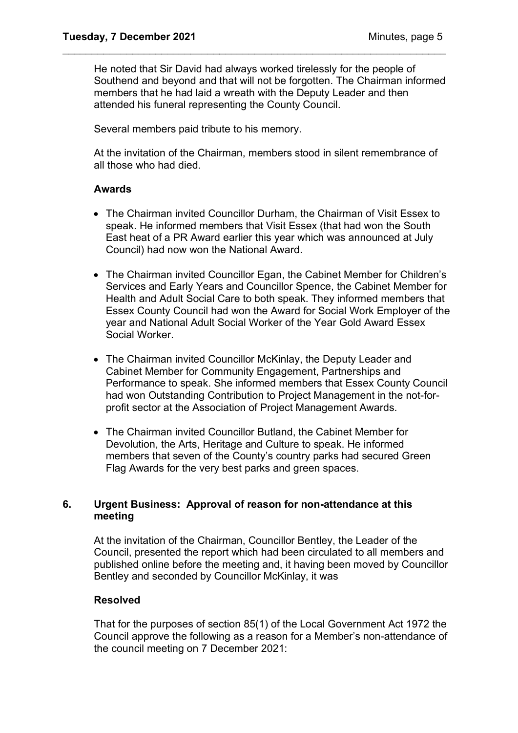He noted that Sir David had always worked tirelessly for the people of Southend and beyond and that will not be forgotten. The Chairman informed members that he had laid a wreath with the Deputy Leader and then attended his funeral representing the County Council.

\_\_\_\_\_\_\_\_\_\_\_\_\_\_\_\_\_\_\_\_\_\_\_\_\_\_\_\_\_\_\_\_\_\_\_\_\_\_\_\_\_\_\_\_\_\_\_\_\_\_\_\_\_\_\_\_\_\_\_\_\_\_\_\_\_\_

Several members paid tribute to his memory.

At the invitation of the Chairman, members stood in silent remembrance of all those who had died.

#### **Awards**

- The Chairman invited Councillor Durham, the Chairman of Visit Essex to speak. He informed members that Visit Essex (that had won the South East heat of a PR Award earlier this year which was announced at July Council) had now won the National Award.
- The Chairman invited Councillor Egan, the Cabinet Member for Children's Services and Early Years and Councillor Spence, the Cabinet Member for Health and Adult Social Care to both speak. They informed members that Essex County Council had won the Award for Social Work Employer of the year and National Adult Social Worker of the Year Gold Award Essex Social Worker.
- The Chairman invited Councillor McKinlay, the Deputy Leader and Cabinet Member for Community Engagement, Partnerships and Performance to speak. She informed members that Essex County Council had won Outstanding Contribution to Project Management in the not-forprofit sector at the Association of Project Management Awards.
- The Chairman invited Councillor Butland, the Cabinet Member for Devolution, the Arts, Heritage and Culture to speak. He informed members that seven of the County's country parks had secured Green Flag Awards for the very best parks and green spaces.

### **6. Urgent Business: Approval of reason for non-attendance at this meeting**

At the invitation of the Chairman, Councillor Bentley, the Leader of the Council, presented the report which had been circulated to all members and published online before the meeting and, it having been moved by Councillor Bentley and seconded by Councillor McKinlay, it was

### **Resolved**

That for the purposes of section 85(1) of the Local Government Act 1972 the Council approve the following as a reason for a Member's non-attendance of the council meeting on 7 December 2021: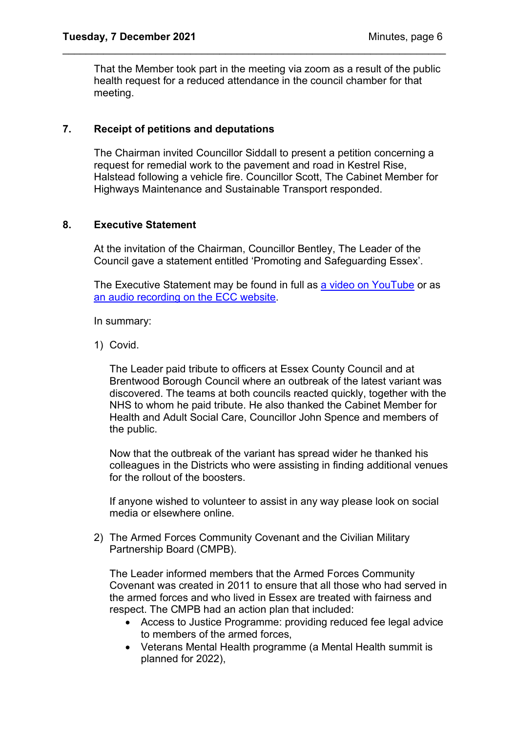That the Member took part in the meeting via zoom as a result of the public health request for a reduced attendance in the council chamber for that meeting.

\_\_\_\_\_\_\_\_\_\_\_\_\_\_\_\_\_\_\_\_\_\_\_\_\_\_\_\_\_\_\_\_\_\_\_\_\_\_\_\_\_\_\_\_\_\_\_\_\_\_\_\_\_\_\_\_\_\_\_\_\_\_\_\_\_\_

### **7. Receipt of petitions and deputations**

The Chairman invited Councillor Siddall to present a petition concerning a request for remedial work to the pavement and road in Kestrel Rise, Halstead following a vehicle fire. Councillor Scott, The Cabinet Member for Highways Maintenance and Sustainable Transport responded.

### **8. Executive Statement**

At the invitation of the Chairman, Councillor Bentley, The Leader of the Council gave a statement entitled 'Promoting and Safeguarding Essex'.

The Executive Statement may be found in full as [a video on YouTube](https://www.youtube.com/watch?v=RrahLm5u7K4) or as [an audio recording on the ECC website.](https://cmis.essex.gov.uk/essexcmis5/CalendarofMeetings/tabid/73/ctl/ViewMeetingPublic/mid/410/Meeting/4637/Committee/50/SelectedTab/Documents/Default.aspx)

In summary:

1) Covid.

The Leader paid tribute to officers at Essex County Council and at Brentwood Borough Council where an outbreak of the latest variant was discovered. The teams at both councils reacted quickly, together with the NHS to whom he paid tribute. He also thanked the Cabinet Member for Health and Adult Social Care, Councillor John Spence and members of the public.

Now that the outbreak of the variant has spread wider he thanked his colleagues in the Districts who were assisting in finding additional venues for the rollout of the boosters.

If anyone wished to volunteer to assist in any way please look on social media or elsewhere online.

2) The Armed Forces Community Covenant and the Civilian Military Partnership Board (CMPB).

The Leader informed members that the Armed Forces Community Covenant was created in 2011 to ensure that all those who had served in the armed forces and who lived in Essex are treated with fairness and respect. The CMPB had an action plan that included:

- Access to Justice Programme: providing reduced fee legal advice to members of the armed forces,
- Veterans Mental Health programme (a Mental Health summit is planned for 2022),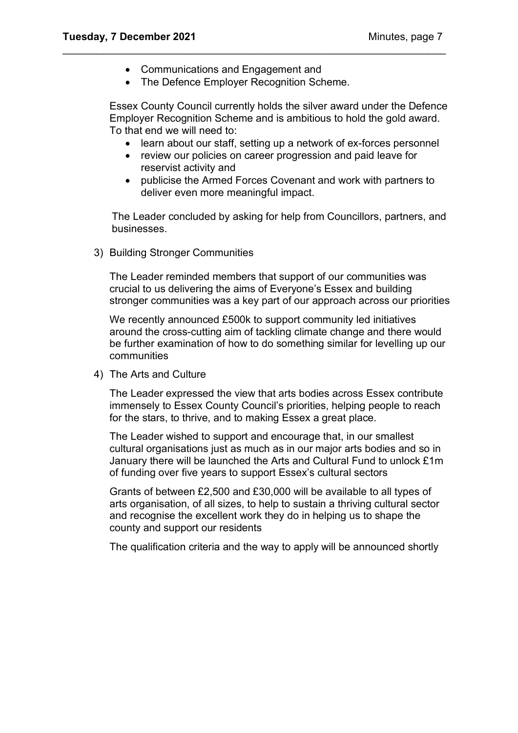- Communications and Engagement and
- The Defence Employer Recognition Scheme.

\_\_\_\_\_\_\_\_\_\_\_\_\_\_\_\_\_\_\_\_\_\_\_\_\_\_\_\_\_\_\_\_\_\_\_\_\_\_\_\_\_\_\_\_\_\_\_\_\_\_\_\_\_\_\_\_\_\_\_\_\_\_\_\_\_\_

Essex County Council currently holds the silver award under the Defence Employer Recognition Scheme and is ambitious to hold the gold award. To that end we will need to:

- learn about our staff, setting up a network of ex-forces personnel
- review our policies on career progression and paid leave for reservist activity and
- publicise the Armed Forces Covenant and work with partners to deliver even more meaningful impact.

The Leader concluded by asking for help from Councillors, partners, and businesses.

3) Building Stronger Communities

The Leader reminded members that support of our communities was crucial to us delivering the aims of Everyone's Essex and building stronger communities was a key part of our approach across our priorities

We recently announced £500k to support community led initiatives around the cross-cutting aim of tackling climate change and there would be further examination of how to do something similar for levelling up our communities

4) The Arts and Culture

The Leader expressed the view that arts bodies across Essex contribute immensely to Essex County Council's priorities, helping people to reach for the stars, to thrive, and to making Essex a great place.

The Leader wished to support and encourage that, in our smallest cultural organisations just as much as in our major arts bodies and so in January there will be launched the Arts and Cultural Fund to unlock £1m of funding over five years to support Essex's cultural sectors

Grants of between £2,500 and £30,000 will be available to all types of arts organisation, of all sizes, to help to sustain a thriving cultural sector and recognise the excellent work they do in helping us to shape the county and support our residents

The qualification criteria and the way to apply will be announced shortly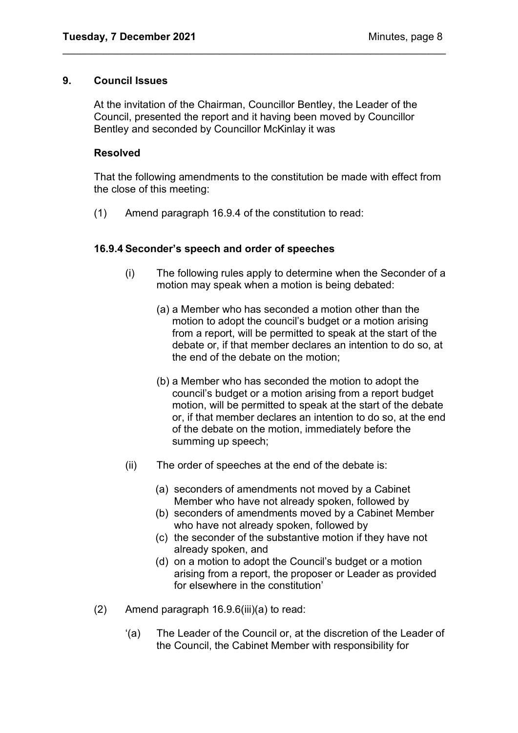#### **9. Council Issues**

At the invitation of the Chairman, Councillor Bentley, the Leader of the Council, presented the report and it having been moved by Councillor Bentley and seconded by Councillor McKinlay it was

\_\_\_\_\_\_\_\_\_\_\_\_\_\_\_\_\_\_\_\_\_\_\_\_\_\_\_\_\_\_\_\_\_\_\_\_\_\_\_\_\_\_\_\_\_\_\_\_\_\_\_\_\_\_\_\_\_\_\_\_\_\_\_\_\_\_

#### **Resolved**

That the following amendments to the constitution be made with effect from the close of this meeting:

(1) Amend paragraph 16.9.4 of the constitution to read:

#### **16.9.4 Seconder's speech and order of speeches**

- (i) The following rules apply to determine when the Seconder of a motion may speak when a motion is being debated:
	- (a) a Member who has seconded a motion other than the motion to adopt the council's budget or a motion arising from a report, will be permitted to speak at the start of the debate or, if that member declares an intention to do so, at the end of the debate on the motion;
	- (b) a Member who has seconded the motion to adopt the council's budget or a motion arising from a report budget motion, will be permitted to speak at the start of the debate or, if that member declares an intention to do so, at the end of the debate on the motion, immediately before the summing up speech;
- (ii) The order of speeches at the end of the debate is:
	- (a) seconders of amendments not moved by a Cabinet Member who have not already spoken, followed by
	- (b) seconders of amendments moved by a Cabinet Member who have not already spoken, followed by
	- (c) the seconder of the substantive motion if they have not already spoken, and
	- (d) on a motion to adopt the Council's budget or a motion arising from a report, the proposer or Leader as provided for elsewhere in the constitution'
- (2) Amend paragraph 16.9.6(iii)(a) to read:
	- '(a) The Leader of the Council or, at the discretion of the Leader of the Council, the Cabinet Member with responsibility for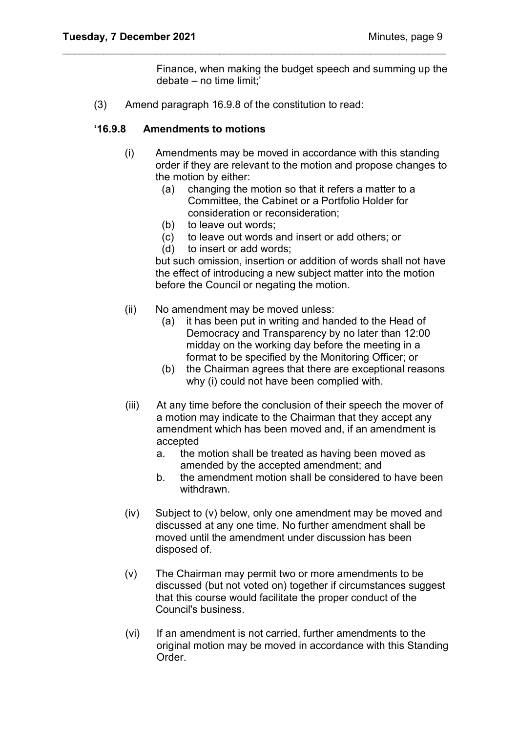Finance, when making the budget speech and summing up the debate – no time limit;'

(3) Amend paragraph 16.9.8 of the constitution to read:

\_\_\_\_\_\_\_\_\_\_\_\_\_\_\_\_\_\_\_\_\_\_\_\_\_\_\_\_\_\_\_\_\_\_\_\_\_\_\_\_\_\_\_\_\_\_\_\_\_\_\_\_\_\_\_\_\_\_\_\_\_\_\_\_\_\_

#### **'16.9.8 Amendments to motions**

- (i) Amendments may be moved in accordance with this standing order if they are relevant to the motion and propose changes to the motion by either:
	- (a) changing the motion so that it refers a matter to a Committee, the Cabinet or a Portfolio Holder for consideration or reconsideration;
	- (b) to leave out words;
	- (c) to leave out words and insert or add others; or
	- (d) to insert or add words;

but such omission, insertion or addition of words shall not have the effect of introducing a new subject matter into the motion before the Council or negating the motion.

- (ii) No amendment may be moved unless:
	- (a) it has been put in writing and handed to the Head of Democracy and Transparency by no later than 12:00 midday on the working day before the meeting in a format to be specified by the Monitoring Officer; or
	- (b) the Chairman agrees that there are exceptional reasons why (i) could not have been complied with.
- (iii) At any time before the conclusion of their speech the mover of a motion may indicate to the Chairman that they accept any amendment which has been moved and, if an amendment is accepted
	- a. the motion shall be treated as having been moved as amended by the accepted amendment; and
	- b. the amendment motion shall be considered to have been withdrawn.
- (iv) Subject to (v) below, only one amendment may be moved and discussed at any one time. No further amendment shall be moved until the amendment under discussion has been disposed of.
- (v) The Chairman may permit two or more amendments to be discussed (but not voted on) together if circumstances suggest that this course would facilitate the proper conduct of the Council's business.
- (vi) If an amendment is not carried, further amendments to the original motion may be moved in accordance with this Standing Order.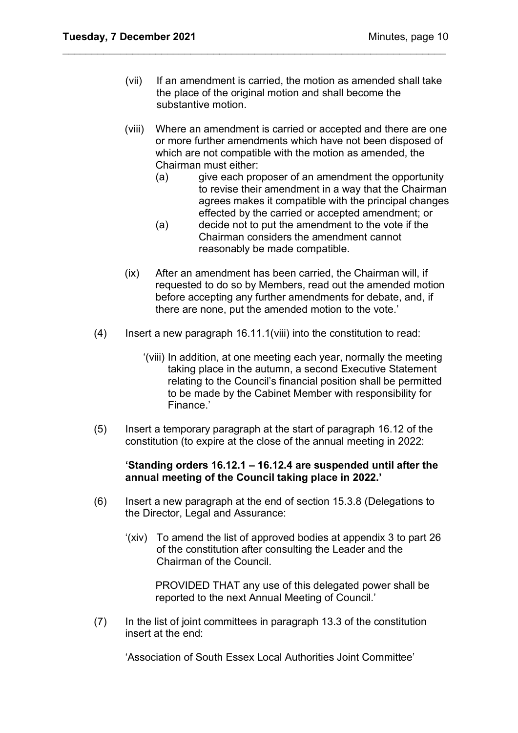(vii) If an amendment is carried, the motion as amended shall take the place of the original motion and shall become the substantive motion.

\_\_\_\_\_\_\_\_\_\_\_\_\_\_\_\_\_\_\_\_\_\_\_\_\_\_\_\_\_\_\_\_\_\_\_\_\_\_\_\_\_\_\_\_\_\_\_\_\_\_\_\_\_\_\_\_\_\_\_\_\_\_\_\_\_\_

- (viii) Where an amendment is carried or accepted and there are one or more further amendments which have not been disposed of which are not compatible with the motion as amended, the Chairman must either:
	- (a) give each proposer of an amendment the opportunity to revise their amendment in a way that the Chairman agrees makes it compatible with the principal changes effected by the carried or accepted amendment; or
	- (a) decide not to put the amendment to the vote if the Chairman considers the amendment cannot reasonably be made compatible.
- (ix) After an amendment has been carried, the Chairman will, if requested to do so by Members, read out the amended motion before accepting any further amendments for debate, and, if there are none, put the amended motion to the vote.'
- (4) Insert a new paragraph 16.11.1(viii) into the constitution to read:
	- '(viii) In addition, at one meeting each year, normally the meeting taking place in the autumn, a second Executive Statement relating to the Council's financial position shall be permitted to be made by the Cabinet Member with responsibility for Finance.'
- (5) Insert a temporary paragraph at the start of paragraph 16.12 of the constitution (to expire at the close of the annual meeting in 2022:

## **'Standing orders 16.12.1 – 16.12.4 are suspended until after the annual meeting of the Council taking place in 2022.'**

- (6) Insert a new paragraph at the end of section 15.3.8 (Delegations to the Director, Legal and Assurance:
	- '(xiv) To amend the list of approved bodies at appendix 3 to part 26 of the constitution after consulting the Leader and the Chairman of the Council.

PROVIDED THAT any use of this delegated power shall be reported to the next Annual Meeting of Council.'

(7) In the list of joint committees in paragraph 13.3 of the constitution insert at the end:

'Association of South Essex Local Authorities Joint Committee'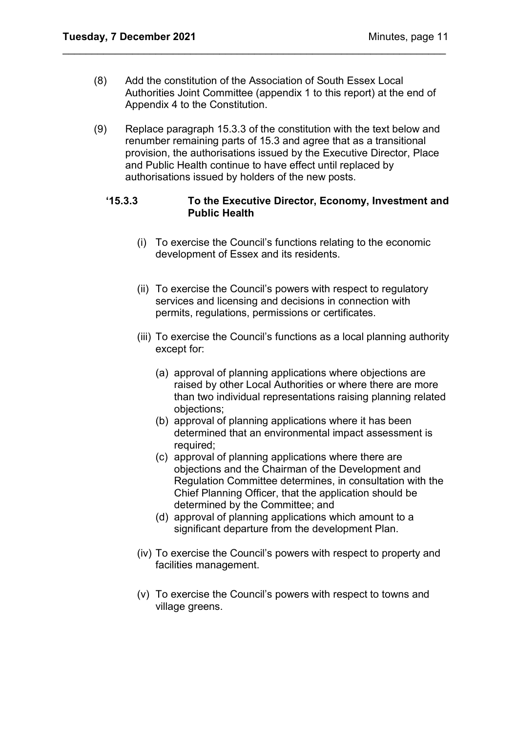(8) Add the constitution of the Association of South Essex Local Authorities Joint Committee (appendix 1 to this report) at the end of Appendix 4 to the Constitution.

\_\_\_\_\_\_\_\_\_\_\_\_\_\_\_\_\_\_\_\_\_\_\_\_\_\_\_\_\_\_\_\_\_\_\_\_\_\_\_\_\_\_\_\_\_\_\_\_\_\_\_\_\_\_\_\_\_\_\_\_\_\_\_\_\_\_

(9) Replace paragraph 15.3.3 of the constitution with the text below and renumber remaining parts of 15.3 and agree that as a transitional provision, the authorisations issued by the Executive Director, Place and Public Health continue to have effect until replaced by authorisations issued by holders of the new posts.

### **'15.3.3 To the Executive Director, Economy, Investment and Public Health**

- (i) To exercise the Council's functions relating to the economic development of Essex and its residents.
- (ii) To exercise the Council's powers with respect to regulatory services and licensing and decisions in connection with permits, regulations, permissions or certificates.
- (iii) To exercise the Council's functions as a local planning authority except for:
	- (a) approval of planning applications where objections are raised by other Local Authorities or where there are more than two individual representations raising planning related objections;
	- (b) approval of planning applications where it has been determined that an environmental impact assessment is required;
	- (c) approval of planning applications where there are objections and the Chairman of the Development and Regulation Committee determines, in consultation with the Chief Planning Officer, that the application should be determined by the Committee; and
	- (d) approval of planning applications which amount to a significant departure from the development Plan.
- (iv) To exercise the Council's powers with respect to property and facilities management.
- (v) To exercise the Council's powers with respect to towns and village greens.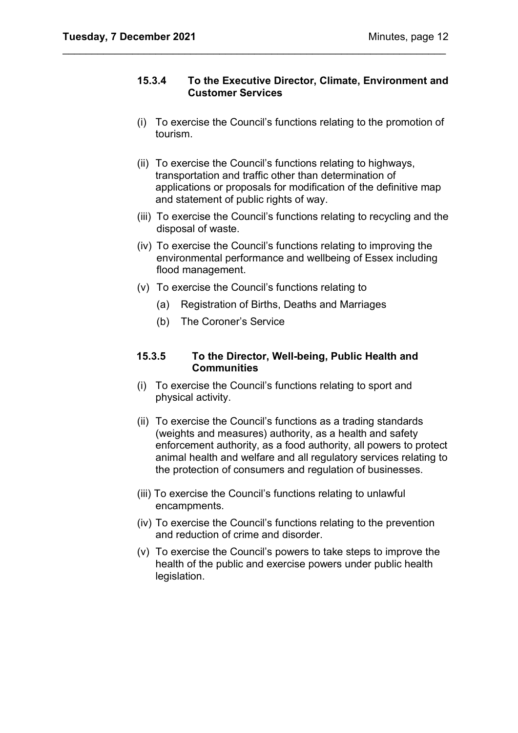### **15.3.4 To the Executive Director, Climate, Environment and Customer Services**

\_\_\_\_\_\_\_\_\_\_\_\_\_\_\_\_\_\_\_\_\_\_\_\_\_\_\_\_\_\_\_\_\_\_\_\_\_\_\_\_\_\_\_\_\_\_\_\_\_\_\_\_\_\_\_\_\_\_\_\_\_\_\_\_\_\_

- (i) To exercise the Council's functions relating to the promotion of tourism.
- (ii) To exercise the Council's functions relating to highways, transportation and traffic other than determination of applications or proposals for modification of the definitive map and statement of public rights of way.
- (iii) To exercise the Council's functions relating to recycling and the disposal of waste.
- (iv) To exercise the Council's functions relating to improving the environmental performance and wellbeing of Essex including flood management.
- (v) To exercise the Council's functions relating to
	- (a) Registration of Births, Deaths and Marriages
	- (b) The Coroner's Service

### **15.3.5 To the Director, Well-being, Public Health and Communities**

- (i) To exercise the Council's functions relating to sport and physical activity.
- (ii) To exercise the Council's functions as a trading standards (weights and measures) authority, as a health and safety enforcement authority, as a food authority, all powers to protect animal health and welfare and all regulatory services relating to the protection of consumers and regulation of businesses.
- (iii) To exercise the Council's functions relating to unlawful encampments.
- (iv) To exercise the Council's functions relating to the prevention and reduction of crime and disorder.
- (v) To exercise the Council's powers to take steps to improve the health of the public and exercise powers under public health legislation.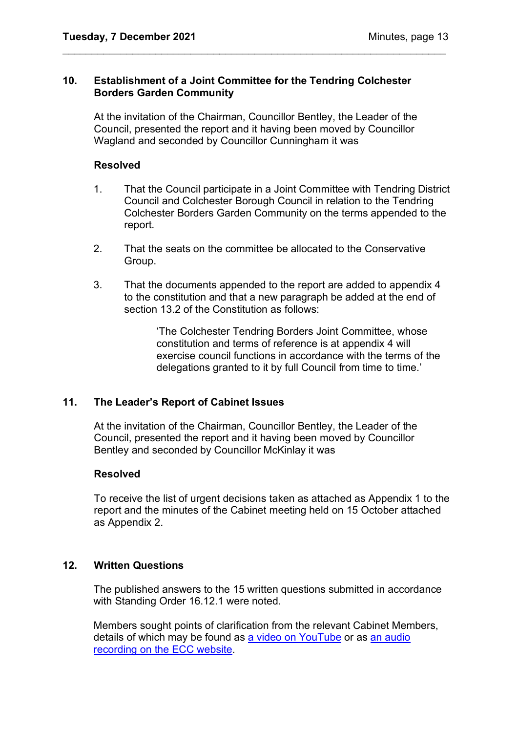### **10. Establishment of a Joint Committee for the Tendring Colchester Borders Garden Community**

At the invitation of the Chairman, Councillor Bentley, the Leader of the Council, presented the report and it having been moved by Councillor Wagland and seconded by Councillor Cunningham it was

\_\_\_\_\_\_\_\_\_\_\_\_\_\_\_\_\_\_\_\_\_\_\_\_\_\_\_\_\_\_\_\_\_\_\_\_\_\_\_\_\_\_\_\_\_\_\_\_\_\_\_\_\_\_\_\_\_\_\_\_\_\_\_\_\_\_

### **Resolved**

- 1. That the Council participate in a Joint Committee with Tendring District Council and Colchester Borough Council in relation to the Tendring Colchester Borders Garden Community on the terms appended to the report.
- 2. That the seats on the committee be allocated to the Conservative Group.
- 3. That the documents appended to the report are added to appendix 4 to the constitution and that a new paragraph be added at the end of section 13.2 of the Constitution as follows:

'The Colchester Tendring Borders Joint Committee, whose constitution and terms of reference is at appendix 4 will exercise council functions in accordance with the terms of the delegations granted to it by full Council from time to time.'

## **11. The Leader's Report of Cabinet Issues**

At the invitation of the Chairman, Councillor Bentley, the Leader of the Council, presented the report and it having been moved by Councillor Bentley and seconded by Councillor McKinlay it was

### **Resolved**

To receive the list of urgent decisions taken as attached as Appendix 1 to the report and the minutes of the Cabinet meeting held on 15 October attached as Appendix 2.

### **12. Written Questions**

The published answers to the 15 written questions submitted in accordance with Standing Order 16.12.1 were noted.

Members sought points of clarification from the relevant Cabinet Members, details of which may be found as [a video on YouTube](https://www.youtube.com/watch?v=RrahLm5u7K4) or as [an audio](https://cmis.essex.gov.uk/essexcmis5/CalendarofMeetings/tabid/73/ctl/ViewMeetingPublic/mid/410/Meeting/4637/Committee/50/SelectedTab/Documents/Default.aspx)  [recording on the ECC website.](https://cmis.essex.gov.uk/essexcmis5/CalendarofMeetings/tabid/73/ctl/ViewMeetingPublic/mid/410/Meeting/4637/Committee/50/SelectedTab/Documents/Default.aspx)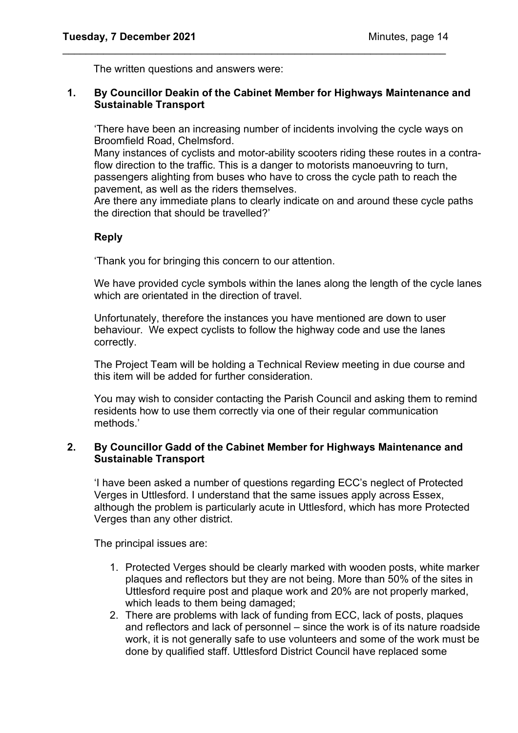The written questions and answers were:

#### **1. By Councillor Deakin of the Cabinet Member for Highways Maintenance and Sustainable Transport**

\_\_\_\_\_\_\_\_\_\_\_\_\_\_\_\_\_\_\_\_\_\_\_\_\_\_\_\_\_\_\_\_\_\_\_\_\_\_\_\_\_\_\_\_\_\_\_\_\_\_\_\_\_\_\_\_\_\_\_\_\_\_\_\_\_\_

'There have been an increasing number of incidents involving the cycle ways on Broomfield Road, Chelmsford.

Many instances of cyclists and motor-ability scooters riding these routes in a contraflow direction to the traffic. This is a danger to motorists manoeuvring to turn, passengers alighting from buses who have to cross the cycle path to reach the pavement, as well as the riders themselves.

Are there any immediate plans to clearly indicate on and around these cycle paths the direction that should be travelled?'

## **Reply**

'Thank you for bringing this concern to our attention.

We have provided cycle symbols within the lanes along the length of the cycle lanes which are orientated in the direction of travel.

Unfortunately, therefore the instances you have mentioned are down to user behaviour. We expect cyclists to follow the highway code and use the lanes correctly.

The Project Team will be holding a Technical Review meeting in due course and this item will be added for further consideration.

You may wish to consider contacting the Parish Council and asking them to remind residents how to use them correctly via one of their regular communication methods.'

#### **2. By Councillor Gadd of the Cabinet Member for Highways Maintenance and Sustainable Transport**

'I have been asked a number of questions regarding ECC's neglect of Protected Verges in Uttlesford. I understand that the same issues apply across Essex, although the problem is particularly acute in Uttlesford, which has more Protected Verges than any other district.

The principal issues are:

- 1. Protected Verges should be clearly marked with wooden posts, white marker plaques and reflectors but they are not being. More than 50% of the sites in Uttlesford require post and plaque work and 20% are not properly marked, which leads to them being damaged;
- 2. There are problems with lack of funding from ECC, lack of posts, plaques and reflectors and lack of personnel – since the work is of its nature roadside work, it is not generally safe to use volunteers and some of the work must be done by qualified staff. Uttlesford District Council have replaced some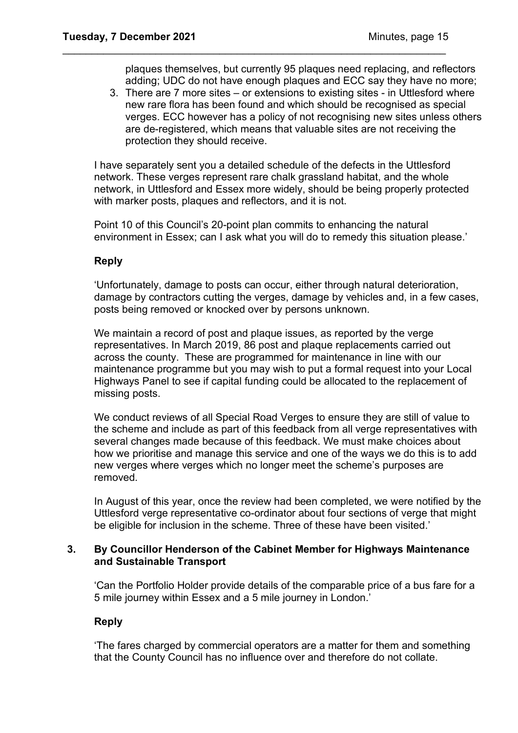plaques themselves, but currently 95 plaques need replacing, and reflectors adding; UDC do not have enough plaques and ECC say they have no more;

\_\_\_\_\_\_\_\_\_\_\_\_\_\_\_\_\_\_\_\_\_\_\_\_\_\_\_\_\_\_\_\_\_\_\_\_\_\_\_\_\_\_\_\_\_\_\_\_\_\_\_\_\_\_\_\_\_\_\_\_\_\_\_\_\_\_

3. There are 7 more sites – or extensions to existing sites - in Uttlesford where new rare flora has been found and which should be recognised as special verges. ECC however has a policy of not recognising new sites unless others are de-registered, which means that valuable sites are not receiving the protection they should receive.

I have separately sent you a detailed schedule of the defects in the Uttlesford network. These verges represent rare chalk grassland habitat, and the whole network, in Uttlesford and Essex more widely, should be being properly protected with marker posts, plaques and reflectors, and it is not.

Point 10 of this Council's 20-point plan commits to enhancing the natural environment in Essex; can I ask what you will do to remedy this situation please.'

### **Reply**

'Unfortunately, damage to posts can occur, either through natural deterioration, damage by contractors cutting the verges, damage by vehicles and, in a few cases, posts being removed or knocked over by persons unknown.

We maintain a record of post and plaque issues, as reported by the verge representatives. In March 2019, 86 post and plaque replacements carried out across the county. These are programmed for maintenance in line with our maintenance programme but you may wish to put a formal request into your Local Highways Panel to see if capital funding could be allocated to the replacement of missing posts.

We conduct reviews of all Special Road Verges to ensure they are still of value to the scheme and include as part of this feedback from all verge representatives with several changes made because of this feedback. We must make choices about how we prioritise and manage this service and one of the ways we do this is to add new verges where verges which no longer meet the scheme's purposes are removed.

In August of this year, once the review had been completed, we were notified by the Uttlesford verge representative co-ordinator about four sections of verge that might be eligible for inclusion in the scheme. Three of these have been visited.'

### **3. By Councillor Henderson of the Cabinet Member for Highways Maintenance and Sustainable Transport**

'Can the Portfolio Holder provide details of the comparable price of a bus fare for a 5 mile journey within Essex and a 5 mile journey in London.'

## **Reply**

'The fares charged by commercial operators are a matter for them and something that the County Council has no influence over and therefore do not collate.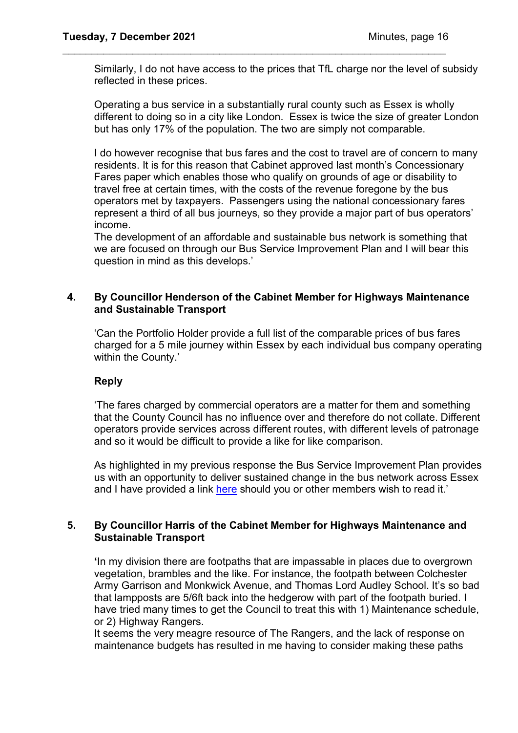Similarly, I do not have access to the prices that TfL charge nor the level of subsidy reflected in these prices.

\_\_\_\_\_\_\_\_\_\_\_\_\_\_\_\_\_\_\_\_\_\_\_\_\_\_\_\_\_\_\_\_\_\_\_\_\_\_\_\_\_\_\_\_\_\_\_\_\_\_\_\_\_\_\_\_\_\_\_\_\_\_\_\_\_\_

Operating a bus service in a substantially rural county such as Essex is wholly different to doing so in a city like London. Essex is twice the size of greater London but has only 17% of the population. The two are simply not comparable.

I do however recognise that bus fares and the cost to travel are of concern to many residents. It is for this reason that Cabinet approved last month's Concessionary Fares paper which enables those who qualify on grounds of age or disability to travel free at certain times, with the costs of the revenue foregone by the bus operators met by taxpayers. Passengers using the national concessionary fares represent a third of all bus journeys, so they provide a major part of bus operators' income.

The development of an affordable and sustainable bus network is something that we are focused on through our Bus Service Improvement Plan and I will bear this question in mind as this develops.'

### **4. By Councillor Henderson of the Cabinet Member for Highways Maintenance and Sustainable Transport**

'Can the Portfolio Holder provide a full list of the comparable prices of bus fares charged for a 5 mile journey within Essex by each individual bus company operating within the County.'

### **Reply**

'The fares charged by commercial operators are a matter for them and something that the County Council has no influence over and therefore do not collate. Different operators provide services across different routes, with different levels of patronage and so it would be difficult to provide a like for like comparison.

As highlighted in my previous response the Bus Service Improvement Plan provides us with an opportunity to deliver sustained change in the bus network across Essex and I have provided a link [here](https://www.essexhighways.org/getting-around/bus/bus-strategy) should you or other members wish to read it.'

## **5. By Councillor Harris of the Cabinet Member for Highways Maintenance and Sustainable Transport**

**'**In my division there are footpaths that are impassable in places due to overgrown vegetation, brambles and the like. For instance, the footpath between Colchester Army Garrison and Monkwick Avenue, and Thomas Lord Audley School. It's so bad that lampposts are 5/6ft back into the hedgerow with part of the footpath buried. I have tried many times to get the Council to treat this with 1) Maintenance schedule, or 2) Highway Rangers.

It seems the very meagre resource of The Rangers, and the lack of response on maintenance budgets has resulted in me having to consider making these paths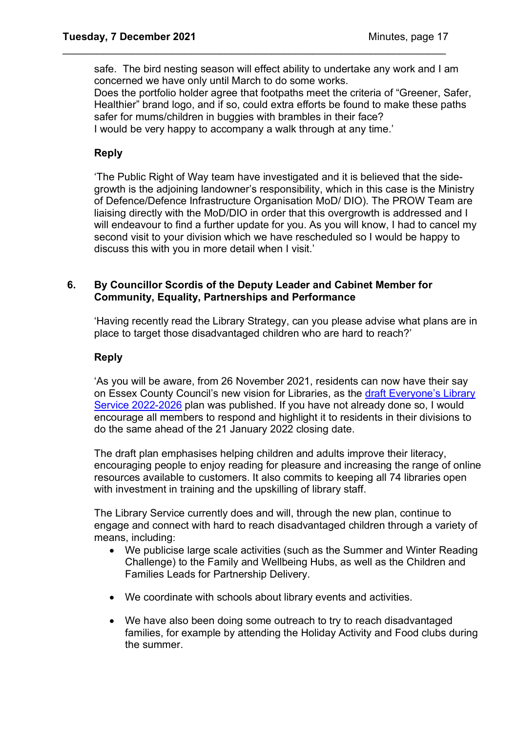safe. The bird nesting season will effect ability to undertake any work and I am concerned we have only until March to do some works.

\_\_\_\_\_\_\_\_\_\_\_\_\_\_\_\_\_\_\_\_\_\_\_\_\_\_\_\_\_\_\_\_\_\_\_\_\_\_\_\_\_\_\_\_\_\_\_\_\_\_\_\_\_\_\_\_\_\_\_\_\_\_\_\_\_\_

Does the portfolio holder agree that footpaths meet the criteria of "Greener, Safer, Healthier" brand logo, and if so, could extra efforts be found to make these paths safer for mums/children in buggies with brambles in their face? I would be very happy to accompany a walk through at any time.'

**Reply**

'The Public Right of Way team have investigated and it is believed that the sidegrowth is the adjoining landowner's responsibility, which in this case is the Ministry of Defence/Defence Infrastructure Organisation MoD/ DIO). The PROW Team are liaising directly with the MoD/DIO in order that this overgrowth is addressed and I will endeavour to find a further update for you. As you will know, I had to cancel my second visit to your division which we have rescheduled so I would be happy to discuss this with you in more detail when I visit.'

## **6. By Councillor Scordis of the Deputy Leader and Cabinet Member for Community, Equality, Partnerships and Performance**

'Having recently read the Library Strategy, can you please advise what plans are in place to target those disadvantaged children who are hard to reach?'

# **Reply**

'As you will be aware, from 26 November 2021, residents can now have their say on Essex County Council's new vision for Libraries, as the draft Everyone's Library [Service 2022-2026](https://libraries.essex.gov.uk/everyoneslibrary/) plan was published. If you have not already done so, I would encourage all members to respond and highlight it to residents in their divisions to do the same ahead of the 21 January 2022 closing date.

The draft plan emphasises helping children and adults improve their literacy, encouraging people to enjoy reading for pleasure and increasing the range of online resources available to customers. It also commits to keeping all 74 libraries open with investment in training and the upskilling of library staff.

The Library Service currently does and will, through the new plan, continue to engage and connect with hard to reach disadvantaged children through a variety of means, including:

- We publicise large scale activities (such as the Summer and Winter Reading Challenge) to the Family and Wellbeing Hubs, as well as the Children and Families Leads for Partnership Delivery.
- We coordinate with schools about library events and activities.
- We have also been doing some outreach to try to reach disadvantaged families, for example by attending the Holiday Activity and Food clubs during the summer.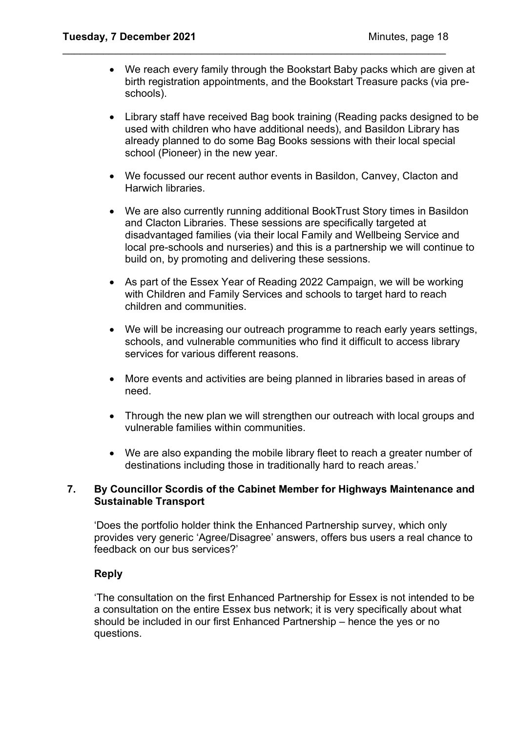• We reach every family through the Bookstart Baby packs which are given at birth registration appointments, and the Bookstart Treasure packs (via preschools).

\_\_\_\_\_\_\_\_\_\_\_\_\_\_\_\_\_\_\_\_\_\_\_\_\_\_\_\_\_\_\_\_\_\_\_\_\_\_\_\_\_\_\_\_\_\_\_\_\_\_\_\_\_\_\_\_\_\_\_\_\_\_\_\_\_\_

- Library staff have received Bag book training (Reading packs designed to be used with children who have additional needs), and Basildon Library has already planned to do some Bag Books sessions with their local special school (Pioneer) in the new year.
- We focussed our recent author events in Basildon, Canvey, Clacton and Harwich libraries.
- We are also currently running additional BookTrust Story times in Basildon and Clacton Libraries. These sessions are specifically targeted at disadvantaged families (via their local Family and Wellbeing Service and local pre-schools and nurseries) and this is a partnership we will continue to build on, by promoting and delivering these sessions.
- As part of the Essex Year of Reading 2022 Campaign, we will be working with Children and Family Services and schools to target hard to reach children and communities.
- We will be increasing our outreach programme to reach early years settings, schools, and vulnerable communities who find it difficult to access library services for various different reasons.
- More events and activities are being planned in libraries based in areas of need.
- Through the new plan we will strengthen our outreach with local groups and vulnerable families within communities.
- We are also expanding the mobile library fleet to reach a greater number of destinations including those in traditionally hard to reach areas.'

### **7. By Councillor Scordis of the Cabinet Member for Highways Maintenance and Sustainable Transport**

'Does the portfolio holder think the Enhanced Partnership survey, which only provides very generic 'Agree/Disagree' answers, offers bus users a real chance to feedback on our bus services?'

## **Reply**

'The consultation on the first Enhanced Partnership for Essex is not intended to be a consultation on the entire Essex bus network; it is very specifically about what should be included in our first Enhanced Partnership – hence the yes or no questions.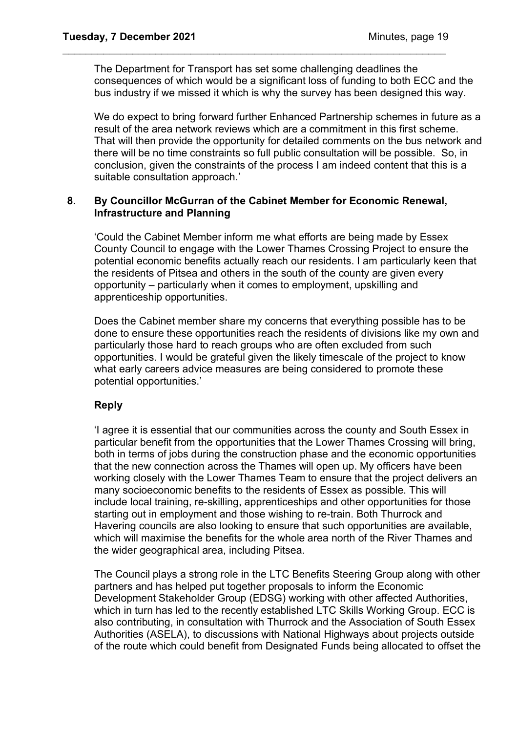The Department for Transport has set some challenging deadlines the consequences of which would be a significant loss of funding to both ECC and the bus industry if we missed it which is why the survey has been designed this way.

We do expect to bring forward further Enhanced Partnership schemes in future as a result of the area network reviews which are a commitment in this first scheme. That will then provide the opportunity for detailed comments on the bus network and there will be no time constraints so full public consultation will be possible. So, in conclusion, given the constraints of the process I am indeed content that this is a suitable consultation approach.'

### **8. By Councillor McGurran of the Cabinet Member for Economic Renewal, Infrastructure and Planning**

\_\_\_\_\_\_\_\_\_\_\_\_\_\_\_\_\_\_\_\_\_\_\_\_\_\_\_\_\_\_\_\_\_\_\_\_\_\_\_\_\_\_\_\_\_\_\_\_\_\_\_\_\_\_\_\_\_\_\_\_\_\_\_\_\_\_

'Could the Cabinet Member inform me what efforts are being made by Essex County Council to engage with the Lower Thames Crossing Project to ensure the potential economic benefits actually reach our residents. I am particularly keen that the residents of Pitsea and others in the south of the county are given every opportunity – particularly when it comes to employment, upskilling and apprenticeship opportunities.

Does the Cabinet member share my concerns that everything possible has to be done to ensure these opportunities reach the residents of divisions like my own and particularly those hard to reach groups who are often excluded from such opportunities. I would be grateful given the likely timescale of the project to know what early careers advice measures are being considered to promote these potential opportunities.'

## **Reply**

'I agree it is essential that our communities across the county and South Essex in particular benefit from the opportunities that the Lower Thames Crossing will bring, both in terms of jobs during the construction phase and the economic opportunities that the new connection across the Thames will open up. My officers have been working closely with the Lower Thames Team to ensure that the project delivers an many socioeconomic benefits to the residents of Essex as possible. This will include local training, re-skilling, apprenticeships and other opportunities for those starting out in employment and those wishing to re-train. Both Thurrock and Havering councils are also looking to ensure that such opportunities are available, which will maximise the benefits for the whole area north of the River Thames and the wider geographical area, including Pitsea.

The Council plays a strong role in the LTC Benefits Steering Group along with other partners and has helped put together proposals to inform the Economic Development Stakeholder Group (EDSG) working with other affected Authorities, which in turn has led to the recently established LTC Skills Working Group. ECC is also contributing, in consultation with Thurrock and the Association of South Essex Authorities (ASELA), to discussions with National Highways about projects outside of the route which could benefit from Designated Funds being allocated to offset the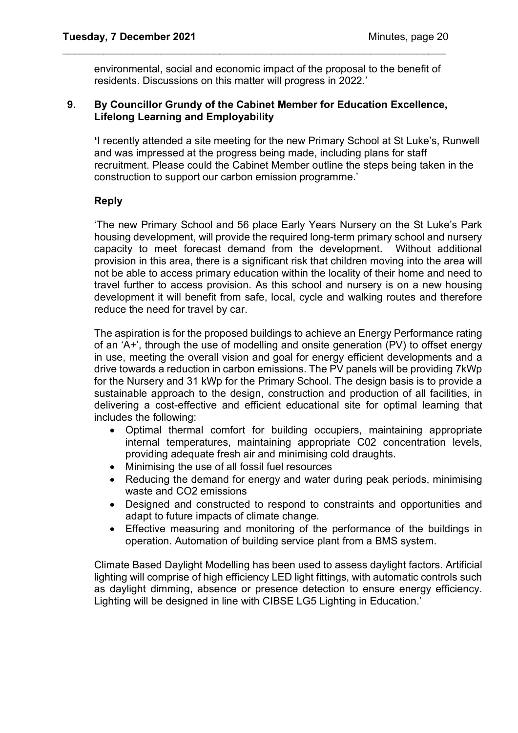environmental, social and economic impact of the proposal to the benefit of residents. Discussions on this matter will progress in 2022.'

### **9. By Councillor Grundy of the Cabinet Member for Education Excellence, Lifelong Learning and Employability**

\_\_\_\_\_\_\_\_\_\_\_\_\_\_\_\_\_\_\_\_\_\_\_\_\_\_\_\_\_\_\_\_\_\_\_\_\_\_\_\_\_\_\_\_\_\_\_\_\_\_\_\_\_\_\_\_\_\_\_\_\_\_\_\_\_\_

**'**I recently attended a site meeting for the new Primary School at St Luke's, Runwell and was impressed at the progress being made, including plans for staff recruitment. Please could the Cabinet Member outline the steps being taken in the construction to support our carbon emission programme.'

## **Reply**

'The new Primary School and 56 place Early Years Nursery on the St Luke's Park housing development, will provide the required long-term primary school and nursery capacity to meet forecast demand from the development. Without additional provision in this area, there is a significant risk that children moving into the area will not be able to access primary education within the locality of their home and need to travel further to access provision. As this school and nursery is on a new housing development it will benefit from safe, local, cycle and walking routes and therefore reduce the need for travel by car.

The aspiration is for the proposed buildings to achieve an Energy Performance rating of an 'A+', through the use of modelling and onsite generation (PV) to offset energy in use, meeting the overall vision and goal for energy efficient developments and a drive towards a reduction in carbon emissions. The PV panels will be providing 7kWp for the Nursery and 31 kWp for the Primary School. The design basis is to provide a sustainable approach to the design, construction and production of all facilities, in delivering a cost-effective and efficient educational site for optimal learning that includes the following:

- Optimal thermal comfort for building occupiers, maintaining appropriate internal temperatures, maintaining appropriate C02 concentration levels, providing adequate fresh air and minimising cold draughts.
- Minimising the use of all fossil fuel resources
- Reducing the demand for energy and water during peak periods, minimising waste and CO2 emissions
- Designed and constructed to respond to constraints and opportunities and adapt to future impacts of climate change.
- Effective measuring and monitoring of the performance of the buildings in operation. Automation of building service plant from a BMS system.

Climate Based Daylight Modelling has been used to assess daylight factors. Artificial lighting will comprise of high efficiency LED light fittings, with automatic controls such as daylight dimming, absence or presence detection to ensure energy efficiency. Lighting will be designed in line with CIBSE LG5 Lighting in Education.'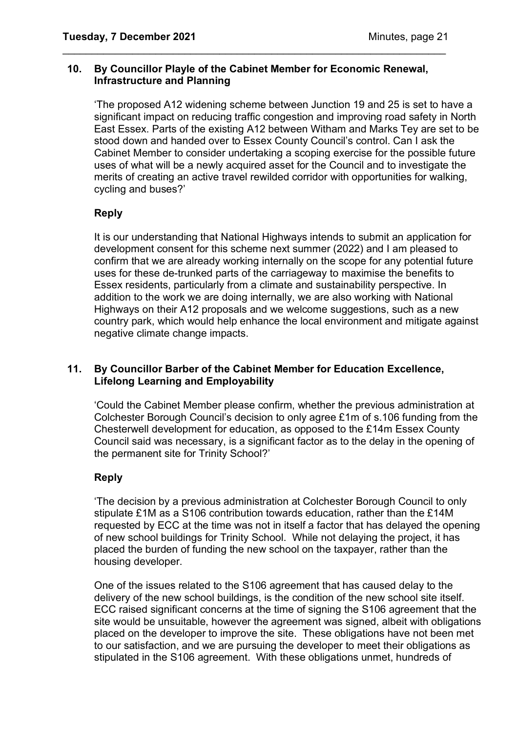### **10. By Councillor Playle of the Cabinet Member for Economic Renewal, Infrastructure and Planning**

\_\_\_\_\_\_\_\_\_\_\_\_\_\_\_\_\_\_\_\_\_\_\_\_\_\_\_\_\_\_\_\_\_\_\_\_\_\_\_\_\_\_\_\_\_\_\_\_\_\_\_\_\_\_\_\_\_\_\_\_\_\_\_\_\_\_

'The proposed A12 widening scheme between Junction 19 and 25 is set to have a significant impact on reducing traffic congestion and improving road safety in North East Essex. Parts of the existing A12 between Witham and Marks Tey are set to be stood down and handed over to Essex County Council's control. Can I ask the Cabinet Member to consider undertaking a scoping exercise for the possible future uses of what will be a newly acquired asset for the Council and to investigate the merits of creating an active travel rewilded corridor with opportunities for walking, cycling and buses?'

# **Reply**

It is our understanding that National Highways intends to submit an application for development consent for this scheme next summer (2022) and I am pleased to confirm that we are already working internally on the scope for any potential future uses for these de-trunked parts of the carriageway to maximise the benefits to Essex residents, particularly from a climate and sustainability perspective. In addition to the work we are doing internally, we are also working with National Highways on their A12 proposals and we welcome suggestions, such as a new country park, which would help enhance the local environment and mitigate against negative climate change impacts.

## **11. By Councillor Barber of the Cabinet Member for Education Excellence, Lifelong Learning and Employability**

'Could the Cabinet Member please confirm, whether the previous administration at Colchester Borough Council's decision to only agree £1m of s.106 funding from the Chesterwell development for education, as opposed to the £14m Essex County Council said was necessary, is a significant factor as to the delay in the opening of the permanent site for Trinity School?'

# **Reply**

'The decision by a previous administration at Colchester Borough Council to only stipulate £1M as a S106 contribution towards education, rather than the £14M requested by ECC at the time was not in itself a factor that has delayed the opening of new school buildings for Trinity School. While not delaying the project, it has placed the burden of funding the new school on the taxpayer, rather than the housing developer.

One of the issues related to the S106 agreement that has caused delay to the delivery of the new school buildings, is the condition of the new school site itself. ECC raised significant concerns at the time of signing the S106 agreement that the site would be unsuitable, however the agreement was signed, albeit with obligations placed on the developer to improve the site. These obligations have not been met to our satisfaction, and we are pursuing the developer to meet their obligations as stipulated in the S106 agreement. With these obligations unmet, hundreds of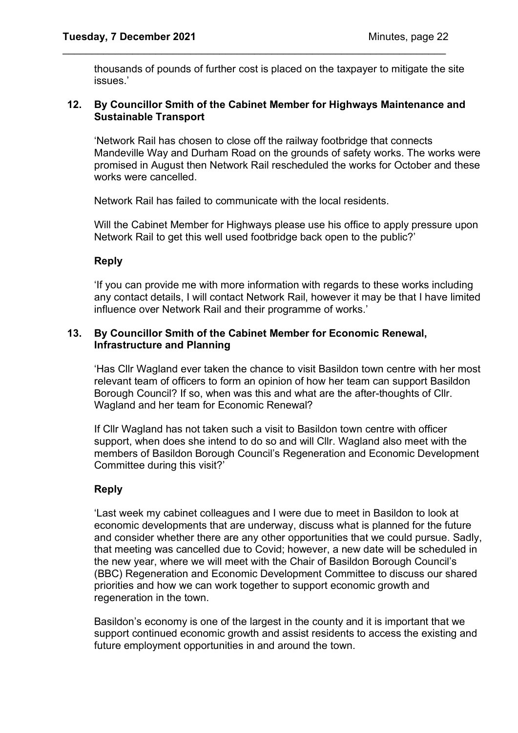thousands of pounds of further cost is placed on the taxpayer to mitigate the site issues.'

### **12. By Councillor Smith of the Cabinet Member for Highways Maintenance and Sustainable Transport**

\_\_\_\_\_\_\_\_\_\_\_\_\_\_\_\_\_\_\_\_\_\_\_\_\_\_\_\_\_\_\_\_\_\_\_\_\_\_\_\_\_\_\_\_\_\_\_\_\_\_\_\_\_\_\_\_\_\_\_\_\_\_\_\_\_\_

'Network Rail has chosen to close off the railway footbridge that connects Mandeville Way and Durham Road on the grounds of safety works. The works were promised in August then Network Rail rescheduled the works for October and these works were cancelled.

Network Rail has failed to communicate with the local residents.

Will the Cabinet Member for Highways please use his office to apply pressure upon Network Rail to get this well used footbridge back open to the public?'

### **Reply**

'If you can provide me with more information with regards to these works including any contact details, I will contact Network Rail, however it may be that I have limited influence over Network Rail and their programme of works.'

### **13. By Councillor Smith of the Cabinet Member for Economic Renewal, Infrastructure and Planning**

'Has Cllr Wagland ever taken the chance to visit Basildon town centre with her most relevant team of officers to form an opinion of how her team can support Basildon Borough Council? If so, when was this and what are the after-thoughts of Cllr. Wagland and her team for Economic Renewal?

If Cllr Wagland has not taken such a visit to Basildon town centre with officer support, when does she intend to do so and will Cllr. Wagland also meet with the members of Basildon Borough Council's Regeneration and Economic Development Committee during this visit?'

## **Reply**

'Last week my cabinet colleagues and I were due to meet in Basildon to look at economic developments that are underway, discuss what is planned for the future and consider whether there are any other opportunities that we could pursue. Sadly, that meeting was cancelled due to Covid; however, a new date will be scheduled in the new year, where we will meet with the Chair of Basildon Borough Council's (BBC) Regeneration and Economic Development Committee to discuss our shared priorities and how we can work together to support economic growth and regeneration in the town.

Basildon's economy is one of the largest in the county and it is important that we support continued economic growth and assist residents to access the existing and future employment opportunities in and around the town.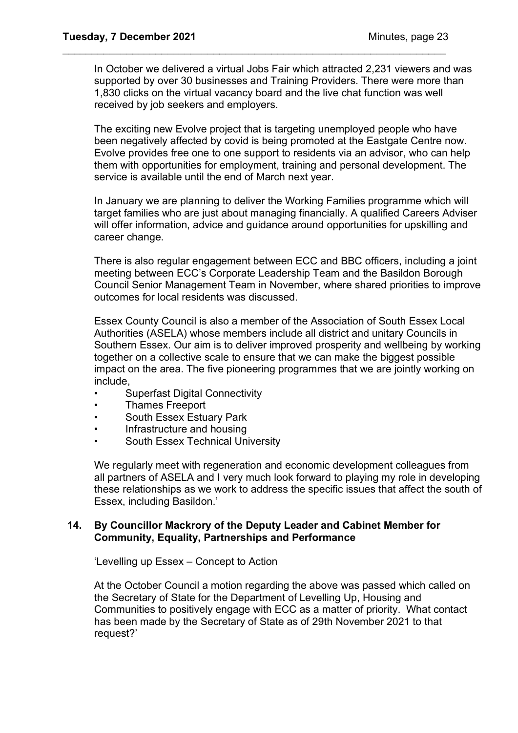In October we delivered a virtual Jobs Fair which attracted 2,231 viewers and was supported by over 30 businesses and Training Providers. There were more than 1,830 clicks on the virtual vacancy board and the live chat function was well received by job seekers and employers.

\_\_\_\_\_\_\_\_\_\_\_\_\_\_\_\_\_\_\_\_\_\_\_\_\_\_\_\_\_\_\_\_\_\_\_\_\_\_\_\_\_\_\_\_\_\_\_\_\_\_\_\_\_\_\_\_\_\_\_\_\_\_\_\_\_\_

The exciting new Evolve project that is targeting unemployed people who have been negatively affected by covid is being promoted at the Eastgate Centre now. Evolve provides free one to one support to residents via an advisor, who can help them with opportunities for employment, training and personal development. The service is available until the end of March next year.

In January we are planning to deliver the Working Families programme which will target families who are just about managing financially. A qualified Careers Adviser will offer information, advice and guidance around opportunities for upskilling and career change.

There is also regular engagement between ECC and BBC officers, including a joint meeting between ECC's Corporate Leadership Team and the Basildon Borough Council Senior Management Team in November, where shared priorities to improve outcomes for local residents was discussed.

Essex County Council is also a member of the Association of South Essex Local Authorities (ASELA) whose members include all district and unitary Councils in Southern Essex. Our aim is to deliver improved prosperity and wellbeing by working together on a collective scale to ensure that we can make the biggest possible impact on the area. The five pioneering programmes that we are jointly working on include,

- Superfast Digital Connectivity
- Thames Freeport
- South Essex Estuary Park
- Infrastructure and housing
- South Essex Technical University

We regularly meet with regeneration and economic development colleagues from all partners of ASELA and I very much look forward to playing my role in developing these relationships as we work to address the specific issues that affect the south of Essex, including Basildon.'

#### **14. By Councillor Mackrory of the Deputy Leader and Cabinet Member for Community, Equality, Partnerships and Performance**

'Levelling up Essex – Concept to Action

At the October Council a motion regarding the above was passed which called on the Secretary of State for the Department of Levelling Up, Housing and Communities to positively engage with ECC as a matter of priority. What contact has been made by the Secretary of State as of 29th November 2021 to that request?'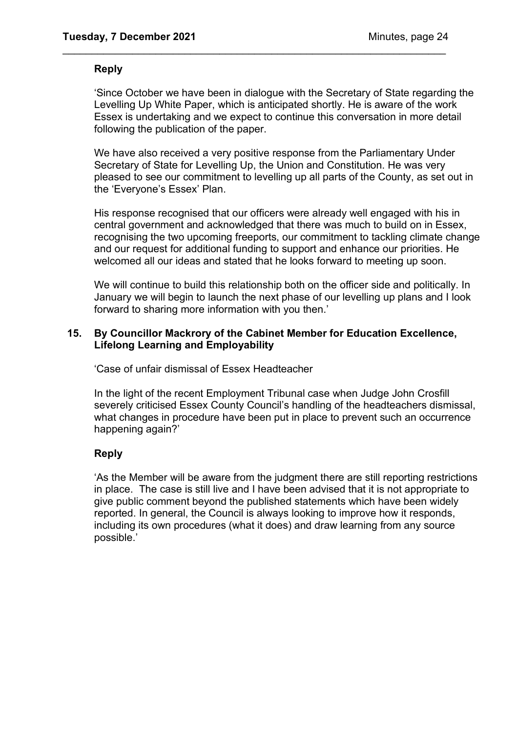### **Reply**

'Since October we have been in dialogue with the Secretary of State regarding the Levelling Up White Paper, which is anticipated shortly. He is aware of the work Essex is undertaking and we expect to continue this conversation in more detail following the publication of the paper.

\_\_\_\_\_\_\_\_\_\_\_\_\_\_\_\_\_\_\_\_\_\_\_\_\_\_\_\_\_\_\_\_\_\_\_\_\_\_\_\_\_\_\_\_\_\_\_\_\_\_\_\_\_\_\_\_\_\_\_\_\_\_\_\_\_\_

We have also received a very positive response from the Parliamentary Under Secretary of State for Levelling Up, the Union and Constitution. He was very pleased to see our commitment to levelling up all parts of the County, as set out in the 'Everyone's Essex' Plan.

His response recognised that our officers were already well engaged with his in central government and acknowledged that there was much to build on in Essex, recognising the two upcoming freeports, our commitment to tackling climate change and our request for additional funding to support and enhance our priorities. He welcomed all our ideas and stated that he looks forward to meeting up soon.

We will continue to build this relationship both on the officer side and politically. In January we will begin to launch the next phase of our levelling up plans and I look forward to sharing more information with you then.'

### **15. By Councillor Mackrory of the Cabinet Member for Education Excellence, Lifelong Learning and Employability**

'Case of unfair dismissal of Essex Headteacher

In the light of the recent Employment Tribunal case when Judge John Crosfill severely criticised Essex County Council's handling of the headteachers dismissal, what changes in procedure have been put in place to prevent such an occurrence happening again?'

### **Reply**

'As the Member will be aware from the judgment there are still reporting restrictions in place. The case is still live and I have been advised that it is not appropriate to give public comment beyond the published statements which have been widely reported. In general, the Council is always looking to improve how it responds, including its own procedures (what it does) and draw learning from any source possible.'